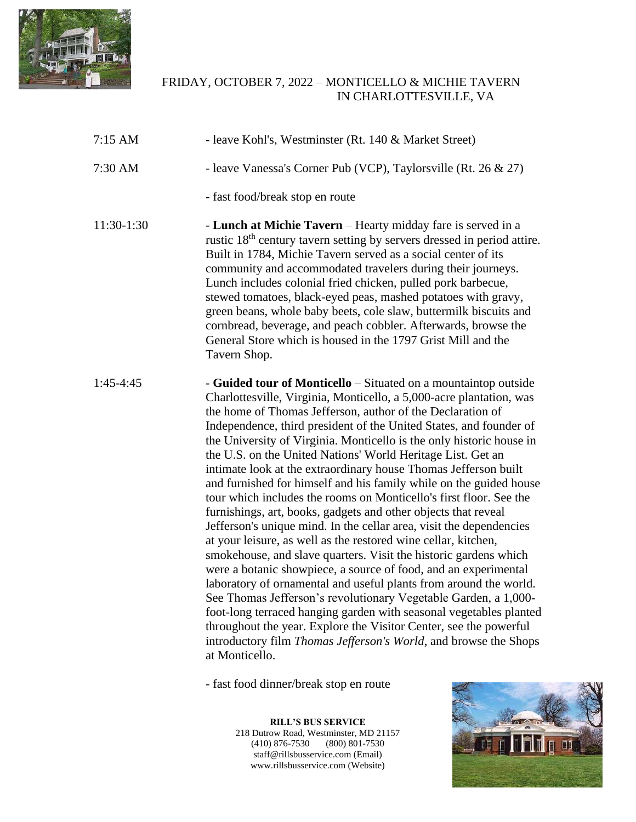

## FRIDAY, OCTOBER 7, 2022 – MONTICELLO & MICHIE TAVERN IN CHARLOTTESVILLE, VA

| $7:15$ AM  | - leave Kohl's, Westminster (Rt. 140 & Market Street)                                                                                                                                                                                                                                                                                                                                                                                                                                                                                                                                                                                                                                                                                                                                                                                                                                                                                                                                                                                                                                                                                                                                                                                                                                                                                                       |
|------------|-------------------------------------------------------------------------------------------------------------------------------------------------------------------------------------------------------------------------------------------------------------------------------------------------------------------------------------------------------------------------------------------------------------------------------------------------------------------------------------------------------------------------------------------------------------------------------------------------------------------------------------------------------------------------------------------------------------------------------------------------------------------------------------------------------------------------------------------------------------------------------------------------------------------------------------------------------------------------------------------------------------------------------------------------------------------------------------------------------------------------------------------------------------------------------------------------------------------------------------------------------------------------------------------------------------------------------------------------------------|
| 7:30 AM    | - leave Vanessa's Corner Pub (VCP), Taylorsville (Rt. 26 & 27)                                                                                                                                                                                                                                                                                                                                                                                                                                                                                                                                                                                                                                                                                                                                                                                                                                                                                                                                                                                                                                                                                                                                                                                                                                                                                              |
|            | - fast food/break stop en route                                                                                                                                                                                                                                                                                                                                                                                                                                                                                                                                                                                                                                                                                                                                                                                                                                                                                                                                                                                                                                                                                                                                                                                                                                                                                                                             |
| 11:30-1:30 | - Lunch at Michie Tavern - Hearty midday fare is served in a<br>rustic 18 <sup>th</sup> century tavern setting by servers dressed in period attire.<br>Built in 1784, Michie Tavern served as a social center of its<br>community and accommodated travelers during their journeys.<br>Lunch includes colonial fried chicken, pulled pork barbecue,<br>stewed tomatoes, black-eyed peas, mashed potatoes with gravy,<br>green beans, whole baby beets, cole slaw, buttermilk biscuits and<br>cornbread, beverage, and peach cobbler. Afterwards, browse the<br>General Store which is housed in the 1797 Grist Mill and the<br>Tavern Shop.                                                                                                                                                                                                                                                                                                                                                                                                                                                                                                                                                                                                                                                                                                                 |
| 1:45-4:45  | - Guided tour of Monticello – Situated on a mountaintop outside<br>Charlottesville, Virginia, Monticello, a 5,000-acre plantation, was<br>the home of Thomas Jefferson, author of the Declaration of<br>Independence, third president of the United States, and founder of<br>the University of Virginia. Monticello is the only historic house in<br>the U.S. on the United Nations' World Heritage List. Get an<br>intimate look at the extraordinary house Thomas Jefferson built<br>and furnished for himself and his family while on the guided house<br>tour which includes the rooms on Monticello's first floor. See the<br>furnishings, art, books, gadgets and other objects that reveal<br>Jefferson's unique mind. In the cellar area, visit the dependencies<br>at your leisure, as well as the restored wine cellar, kitchen,<br>smokehouse, and slave quarters. Visit the historic gardens which<br>were a botanic showpiece, a source of food, and an experimental<br>laboratory of ornamental and useful plants from around the world.<br>See Thomas Jefferson's revolutionary Vegetable Garden, a 1,000-<br>foot-long terraced hanging garden with seasonal vegetables planted<br>throughout the year. Explore the Visitor Center, see the powerful<br>introductory film Thomas Jefferson's World, and browse the Shops<br>at Monticello. |

- fast food dinner/break stop en route

**RILL'S BUS SERVICE** 218 Dutrow Road, Westminster, MD 21157 (410) 876-7530 (800) 801-7530 staff@rillsbusservice.com (Email) www.rillsbusservice.com (Website)